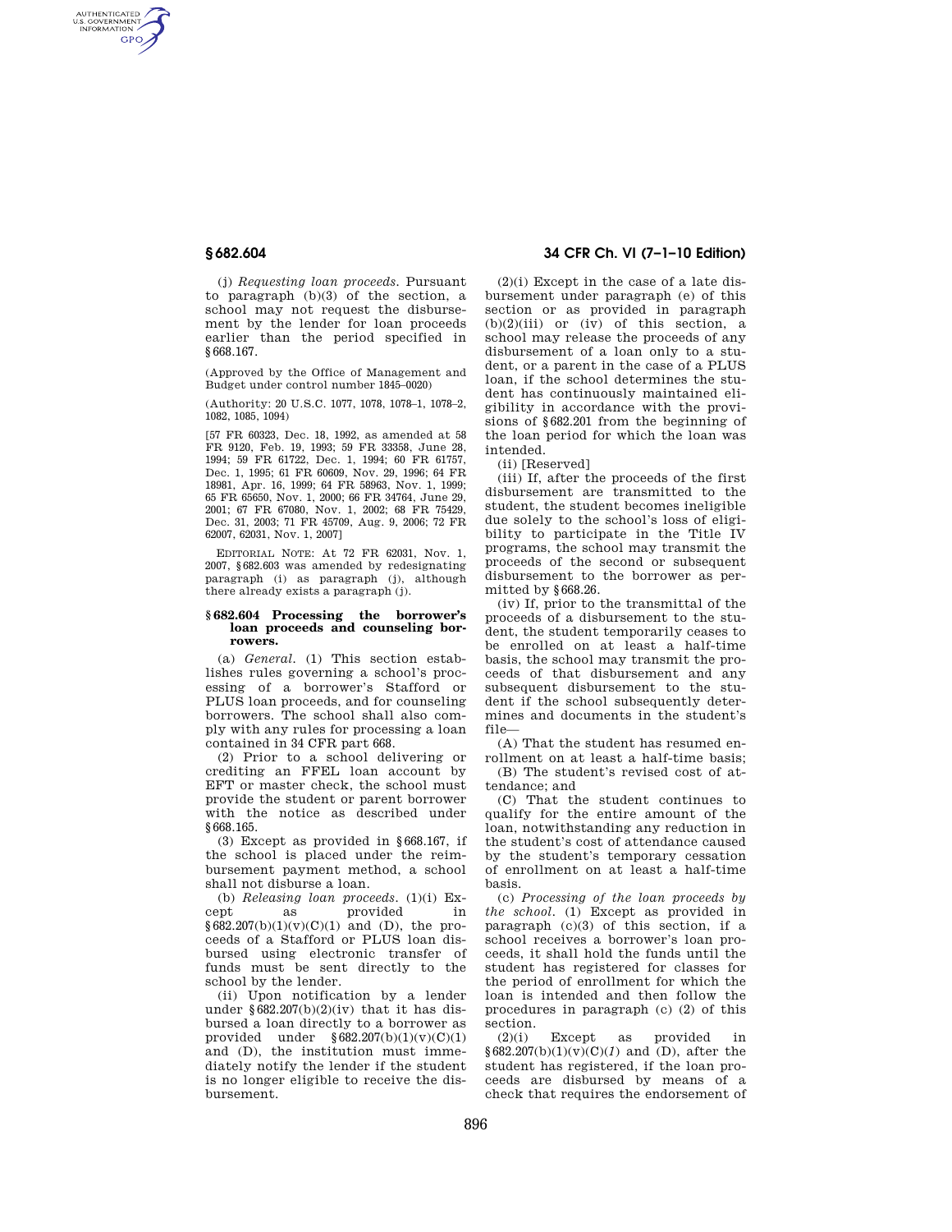AUTHENTICATED<br>U.S. GOVERNMENT<br>INFORMATION **GPO** 

> (j) *Requesting loan proceeds.* Pursuant to paragraph (b)(3) of the section, a school may not request the disbursement by the lender for loan proceeds earlier than the period specified in §668.167.

(Approved by the Office of Management and Budget under control number 1845–0020)

(Authority: 20 U.S.C. 1077, 1078, 1078–1, 1078–2, 1082, 1085, 1094)

[57 FR 60323, Dec. 18, 1992, as amended at 58 FR 9120, Feb. 19, 1993; 59 FR 33358, June 28, 1994; 59 FR 61722, Dec. 1, 1994; 60 FR 61757, Dec. 1, 1995; 61 FR 60609, Nov. 29, 1996; 64 FR 18981, Apr. 16, 1999; 64 FR 58963, Nov. 1, 1999; 65 FR 65650, Nov. 1, 2000; 66 FR 34764, June 29, 2001; 67 FR 67080, Nov. 1, 2002; 68 FR 75429, Dec. 31, 2003; 71 FR 45709, Aug. 9, 2006; 72 FR 62007, 62031, Nov. 1, 2007]

EDITORIAL NOTE: At 72 FR 62031, Nov. 1, 2007, §682.603 was amended by redesignating paragraph (i) as paragraph (j), although there already exists a paragraph (j).

#### **§ 682.604 Processing the borrower's loan proceeds and counseling borrowers.**

(a) *General.* (1) This section establishes rules governing a school's processing of a borrower's Stafford or PLUS loan proceeds, and for counseling borrowers. The school shall also comply with any rules for processing a loan contained in 34 CFR part 668.

(2) Prior to a school delivering or crediting an FFEL loan account by EFT or master check, the school must provide the student or parent borrower with the notice as described under §668.165.

(3) Except as provided in §668.167, if the school is placed under the reimbursement payment method, a school shall not disburse a loan.

(b) *Releasing loan proceeds.* (1)(i) Except as provided in  $§682.207(b)(1)(v)(C)(1)$  and (D), the proceeds of a Stafford or PLUS loan disbursed using electronic transfer of funds must be sent directly to the school by the lender.

(ii) Upon notification by a lender under  $\S 682.207(b)(2)(iv)$  that it has disbursed a loan directly to a borrower as provided under  $§ 682.207(b)(1)(v)(C)(1)$ and (D), the institution must immediately notify the lender if the student is no longer eligible to receive the disbursement.

# **§ 682.604 34 CFR Ch. VI (7–1–10 Edition)**

 $(2)(i)$  Except in the case of a late disbursement under paragraph (e) of this section or as provided in paragraph  $(b)(2)(iii)$  or  $(iv)$  of this section, a school may release the proceeds of any disbursement of a loan only to a student, or a parent in the case of a PLUS loan, if the school determines the student has continuously maintained eligibility in accordance with the provisions of §682.201 from the beginning of the loan period for which the loan was intended.

(ii) [Reserved]

(iii) If, after the proceeds of the first disbursement are transmitted to the student, the student becomes ineligible due solely to the school's loss of eligibility to participate in the Title IV programs, the school may transmit the proceeds of the second or subsequent disbursement to the borrower as permitted by §668.26.

(iv) If, prior to the transmittal of the proceeds of a disbursement to the student, the student temporarily ceases to be enrolled on at least a half-time basis, the school may transmit the proceeds of that disbursement and any subsequent disbursement to the student if the school subsequently determines and documents in the student's file—

(A) That the student has resumed enrollment on at least a half-time basis;

(B) The student's revised cost of attendance; and

(C) That the student continues to qualify for the entire amount of the loan, notwithstanding any reduction in the student's cost of attendance caused by the student's temporary cessation of enrollment on at least a half-time basis.

(c) *Processing of the loan proceeds by the school.* (1) Except as provided in paragraph  $(c)(3)$  of this section, if a school receives a borrower's loan proceeds, it shall hold the funds until the student has registered for classes for the period of enrollment for which the loan is intended and then follow the procedures in paragraph (c) (2) of this section.

(2)(i) Except as provided in  $§682.207(b)(1)(v)(C)(1)$  and (D), after the student has registered, if the loan proceeds are disbursed by means of a check that requires the endorsement of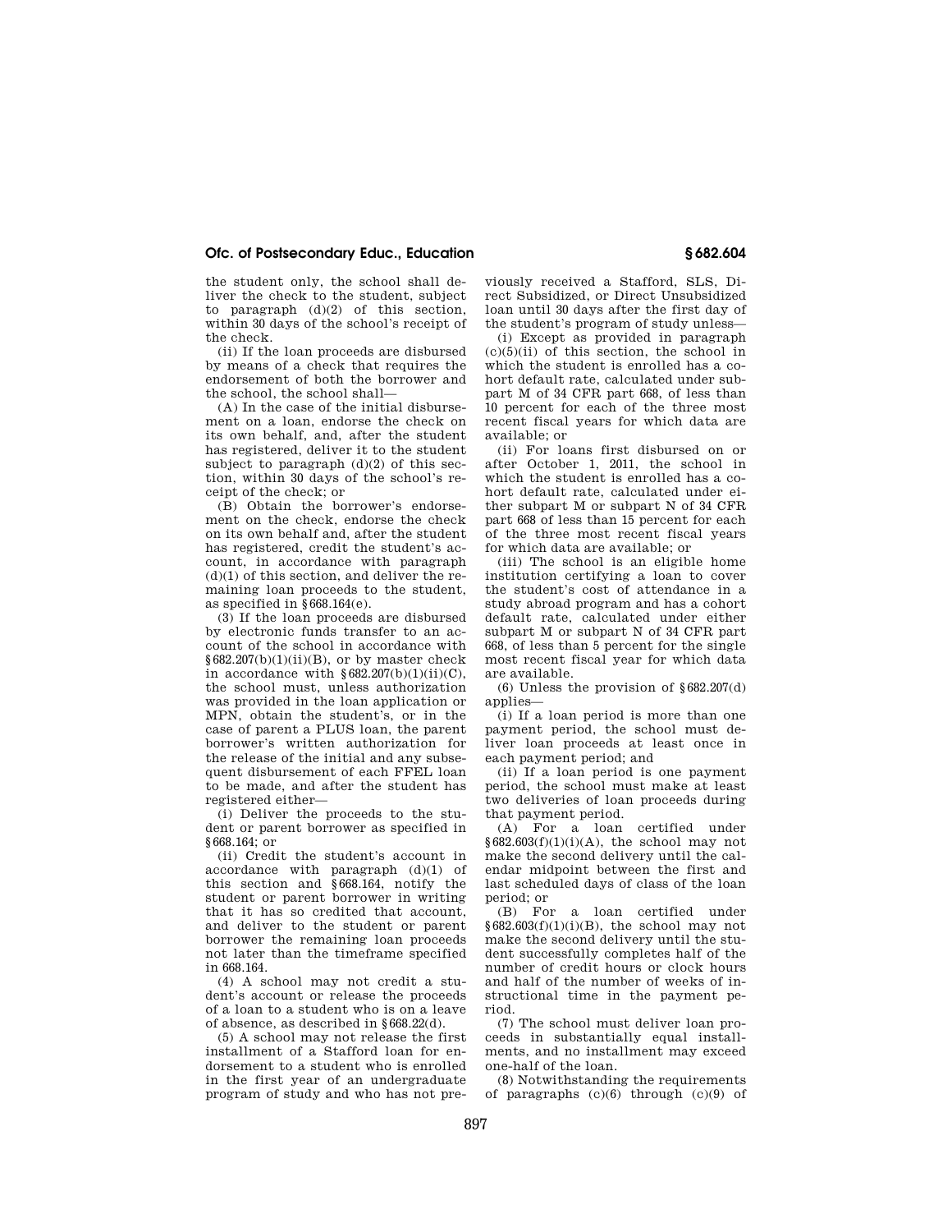## **Ofc. of Postsecondary Educ., Education § 682.604**

the student only, the school shall deliver the check to the student, subject to paragraph  $(d)(2)$  of this section, within 30 days of the school's receipt of the check.

(ii) If the loan proceeds are disbursed by means of a check that requires the endorsement of both the borrower and the school, the school shall—

(A) In the case of the initial disbursement on a loan, endorse the check on its own behalf, and, after the student has registered, deliver it to the student subject to paragraph  $(d)(2)$  of this section, within 30 days of the school's receipt of the check; or

(B) Obtain the borrower's endorsement on the check, endorse the check on its own behalf and, after the student has registered, credit the student's account, in accordance with paragraph  $(d)(1)$  of this section, and deliver the remaining loan proceeds to the student, as specified in §668.164(e).

(3) If the loan proceeds are disbursed by electronic funds transfer to an account of the school in accordance with  $§682.207(b)(1)(ii)(B)$ , or by master check in accordance with  $§682.207(b)(1)(ii)(C)$ , the school must, unless authorization was provided in the loan application or MPN, obtain the student's, or in the case of parent a PLUS loan, the parent borrower's written authorization for the release of the initial and any subsequent disbursement of each FFEL loan to be made, and after the student has registered either—

(i) Deliver the proceeds to the student or parent borrower as specified in §668.164; or

(ii) Credit the student's account in accordance with paragraph (d)(1) of this section and §668.164, notify the student or parent borrower in writing that it has so credited that account, and deliver to the student or parent borrower the remaining loan proceeds not later than the timeframe specified in 668.164.

(4) A school may not credit a student's account or release the proceeds of a loan to a student who is on a leave of absence, as described in §668.22(d).

(5) A school may not release the first installment of a Stafford loan for endorsement to a student who is enrolled in the first year of an undergraduate program of study and who has not previously received a Stafford, SLS, Direct Subsidized, or Direct Unsubsidized loan until 30 days after the first day of the student's program of study unless—

(i) Except as provided in paragraph  $(c)(5)(ii)$  of this section, the school in which the student is enrolled has a cohort default rate, calculated under subpart M of 34 CFR part 668, of less than 10 percent for each of the three most recent fiscal years for which data are available; or

(ii) For loans first disbursed on or after October 1, 2011, the school in which the student is enrolled has a cohort default rate, calculated under either subpart M or subpart N of 34 CFR part 668 of less than 15 percent for each of the three most recent fiscal years for which data are available; or

(iii) The school is an eligible home institution certifying a loan to cover the student's cost of attendance in a study abroad program and has a cohort default rate, calculated under either subpart M or subpart N of 34 CFR part 668, of less than 5 percent for the single most recent fiscal year for which data are available.

(6) Unless the provision of  $§682.207(d)$ applies—

(i) If a loan period is more than one payment period, the school must deliver loan proceeds at least once in each payment period; and

(ii) If a loan period is one payment period, the school must make at least two deliveries of loan proceeds during that payment period.

(A) For a loan certified under  $§682.603(f)(1)(i)(A)$ , the school may not make the second delivery until the calendar midpoint between the first and last scheduled days of class of the loan period; or

(B) For a loan certified under  $§682.603(f)(1)(i)(B)$ , the school may not make the second delivery until the student successfully completes half of the number of credit hours or clock hours and half of the number of weeks of instructional time in the payment period.

(7) The school must deliver loan proceeds in substantially equal installments, and no installment may exceed one-half of the loan.

(8) Notwithstanding the requirements of paragraphs (c)(6) through (c)(9) of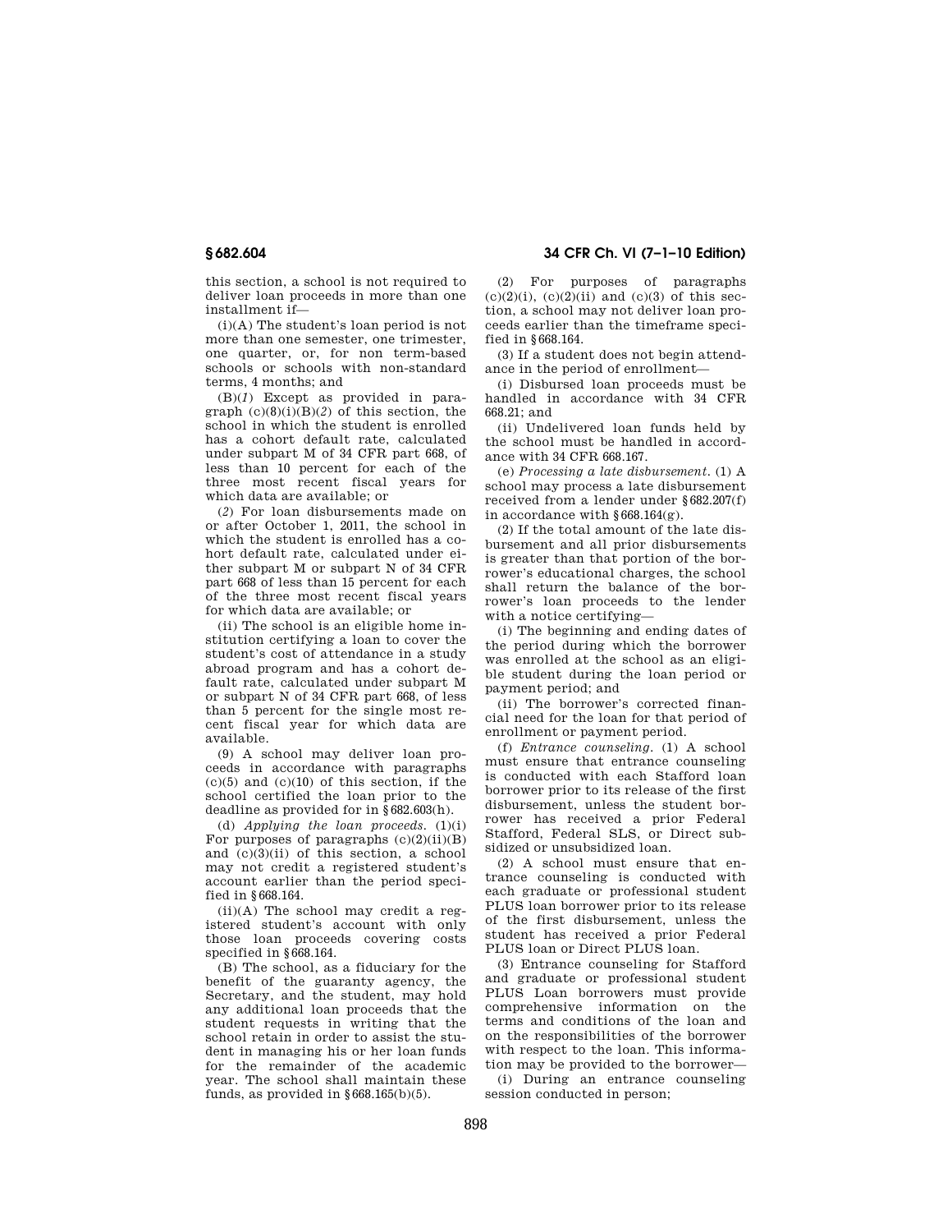this section, a school is not required to deliver loan proceeds in more than one installment if—

(i)(A) The student's loan period is not more than one semester, one trimester, one quarter, or, for non term-based schools or schools with non-standard terms, 4 months; and

(B)(*1*) Except as provided in paragraph  $(c)(8)(i)(B)(2)$  of this section, the school in which the student is enrolled has a cohort default rate, calculated under subpart M of 34 CFR part 668, of less than 10 percent for each of the three most recent fiscal years for which data are available; or

(*2*) For loan disbursements made on or after October 1, 2011, the school in which the student is enrolled has a cohort default rate, calculated under either subpart M or subpart N of 34 CFR part 668 of less than 15 percent for each of the three most recent fiscal years for which data are available; or

(ii) The school is an eligible home institution certifying a loan to cover the student's cost of attendance in a study abroad program and has a cohort default rate, calculated under subpart M or subpart N of 34 CFR part 668, of less than 5 percent for the single most recent fiscal year for which data are available.

(9) A school may deliver loan proceeds in accordance with paragraphs  $(c)(5)$  and  $(c)(10)$  of this section, if the school certified the loan prior to the deadline as provided for in §682.603(h).

(d) *Applying the loan proceeds.* (1)(i) For purposes of paragraphs  $(c)(2)(ii)(B)$ and (c)(3)(ii) of this section, a school may not credit a registered student's account earlier than the period specified in §668.164.

 $(ii)(A)$  The school may credit a registered student's account with only those loan proceeds covering costs specified in §668.164.

(B) The school, as a fiduciary for the benefit of the guaranty agency, the Secretary, and the student, may hold any additional loan proceeds that the student requests in writing that the school retain in order to assist the student in managing his or her loan funds for the remainder of the academic year. The school shall maintain these funds, as provided in  $§668.165(b)(5)$ .

**§ 682.604 34 CFR Ch. VI (7–1–10 Edition)** 

(2) For purposes of paragraphs  $(c)(2)(i)$ ,  $(c)(2)(ii)$  and  $(c)(3)$  of this section, a school may not deliver loan proceeds earlier than the timeframe specified in §668.164.

(3) If a student does not begin attendance in the period of enrollment—

(i) Disbursed loan proceeds must be handled in accordance with 34 CFR 668.21; and

(ii) Undelivered loan funds held by the school must be handled in accordance with 34 CFR 668.167.

(e) *Processing a late disbursement.* (1) A school may process a late disbursement received from a lender under §682.207(f) in accordance with §668.164(g).

(2) If the total amount of the late disbursement and all prior disbursements is greater than that portion of the borrower's educational charges, the school shall return the balance of the borrower's loan proceeds to the lender with a notice certifying—

(i) The beginning and ending dates of the period during which the borrower was enrolled at the school as an eligible student during the loan period or payment period; and

(ii) The borrower's corrected financial need for the loan for that period of enrollment or payment period.

(f) *Entrance counseling*. (1) A school must ensure that entrance counseling is conducted with each Stafford loan borrower prior to its release of the first disbursement, unless the student borrower has received a prior Federal Stafford, Federal SLS, or Direct subsidized or unsubsidized loan.

(2) A school must ensure that entrance counseling is conducted with each graduate or professional student PLUS loan borrower prior to its release of the first disbursement, unless the student has received a prior Federal PLUS loan or Direct PLUS loan.

(3) Entrance counseling for Stafford and graduate or professional student PLUS Loan borrowers must provide comprehensive information on the terms and conditions of the loan and on the responsibilities of the borrower with respect to the loan. This information may be provided to the borrower—

(i) During an entrance counseling session conducted in person;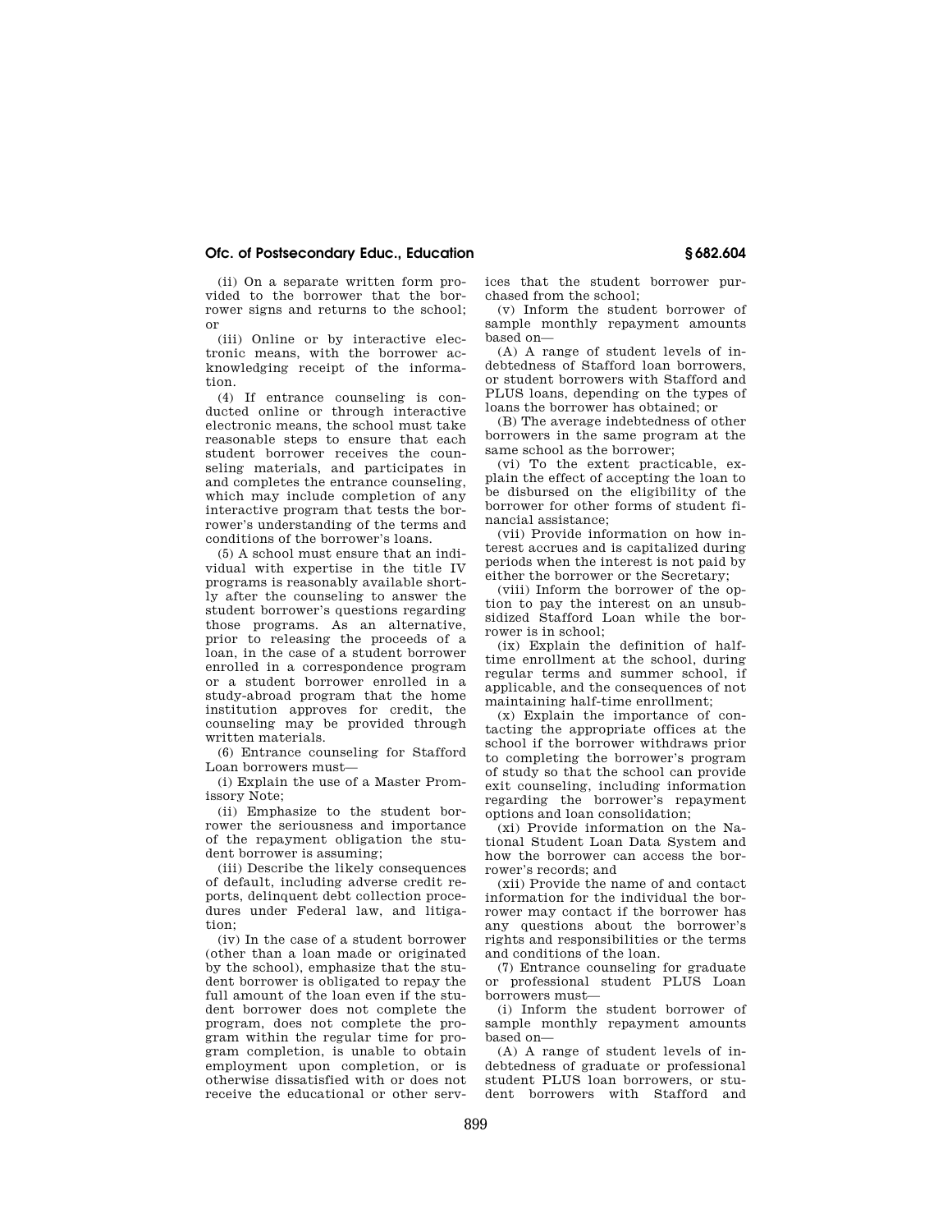## **Ofc. of Postsecondary Educ., Education § 682.604**

(ii) On a separate written form provided to the borrower that the borrower signs and returns to the school; or

(iii) Online or by interactive electronic means, with the borrower acknowledging receipt of the information.

(4) If entrance counseling is conducted online or through interactive electronic means, the school must take reasonable steps to ensure that each student borrower receives the counseling materials, and participates in and completes the entrance counseling, which may include completion of any interactive program that tests the borrower's understanding of the terms and conditions of the borrower's loans.

(5) A school must ensure that an individual with expertise in the title IV programs is reasonably available shortly after the counseling to answer the student borrower's questions regarding those programs. As an alternative, prior to releasing the proceeds of a loan, in the case of a student borrower enrolled in a correspondence program or a student borrower enrolled in a study-abroad program that the home institution approves for credit, the counseling may be provided through written materials.

(6) Entrance counseling for Stafford Loan borrowers must—

(i) Explain the use of a Master Promissory Note;

(ii) Emphasize to the student borrower the seriousness and importance of the repayment obligation the student borrower is assuming;

(iii) Describe the likely consequences of default, including adverse credit reports, delinquent debt collection procedures under Federal law, and litigation;

(iv) In the case of a student borrower (other than a loan made or originated by the school), emphasize that the student borrower is obligated to repay the full amount of the loan even if the student borrower does not complete the program, does not complete the program within the regular time for program completion, is unable to obtain employment upon completion, or is otherwise dissatisfied with or does not receive the educational or other services that the student borrower purchased from the school;

(v) Inform the student borrower of sample monthly repayment amounts based on—

(A) A range of student levels of indebtedness of Stafford loan borrowers, or student borrowers with Stafford and PLUS loans, depending on the types of loans the borrower has obtained; or

(B) The average indebtedness of other borrowers in the same program at the same school as the borrower;

(vi) To the extent practicable, explain the effect of accepting the loan to be disbursed on the eligibility of the borrower for other forms of student financial assistance;

(vii) Provide information on how interest accrues and is capitalized during periods when the interest is not paid by either the borrower or the Secretary;

(viii) Inform the borrower of the option to pay the interest on an unsubsidized Stafford Loan while the borrower is in school;

(ix) Explain the definition of halftime enrollment at the school, during regular terms and summer school, if applicable, and the consequences of not maintaining half-time enrollment;

(x) Explain the importance of contacting the appropriate offices at the school if the borrower withdraws prior to completing the borrower's program of study so that the school can provide exit counseling, including information regarding the borrower's repayment options and loan consolidation;

(xi) Provide information on the National Student Loan Data System and how the borrower can access the borrower's records; and

(xii) Provide the name of and contact information for the individual the borrower may contact if the borrower has any questions about the borrower's rights and responsibilities or the terms and conditions of the loan.

(7) Entrance counseling for graduate or professional student PLUS Loan borrowers must—

(i) Inform the student borrower of sample monthly repayment amounts based on—

(A) A range of student levels of indebtedness of graduate or professional student PLUS loan borrowers, or student borrowers with Stafford and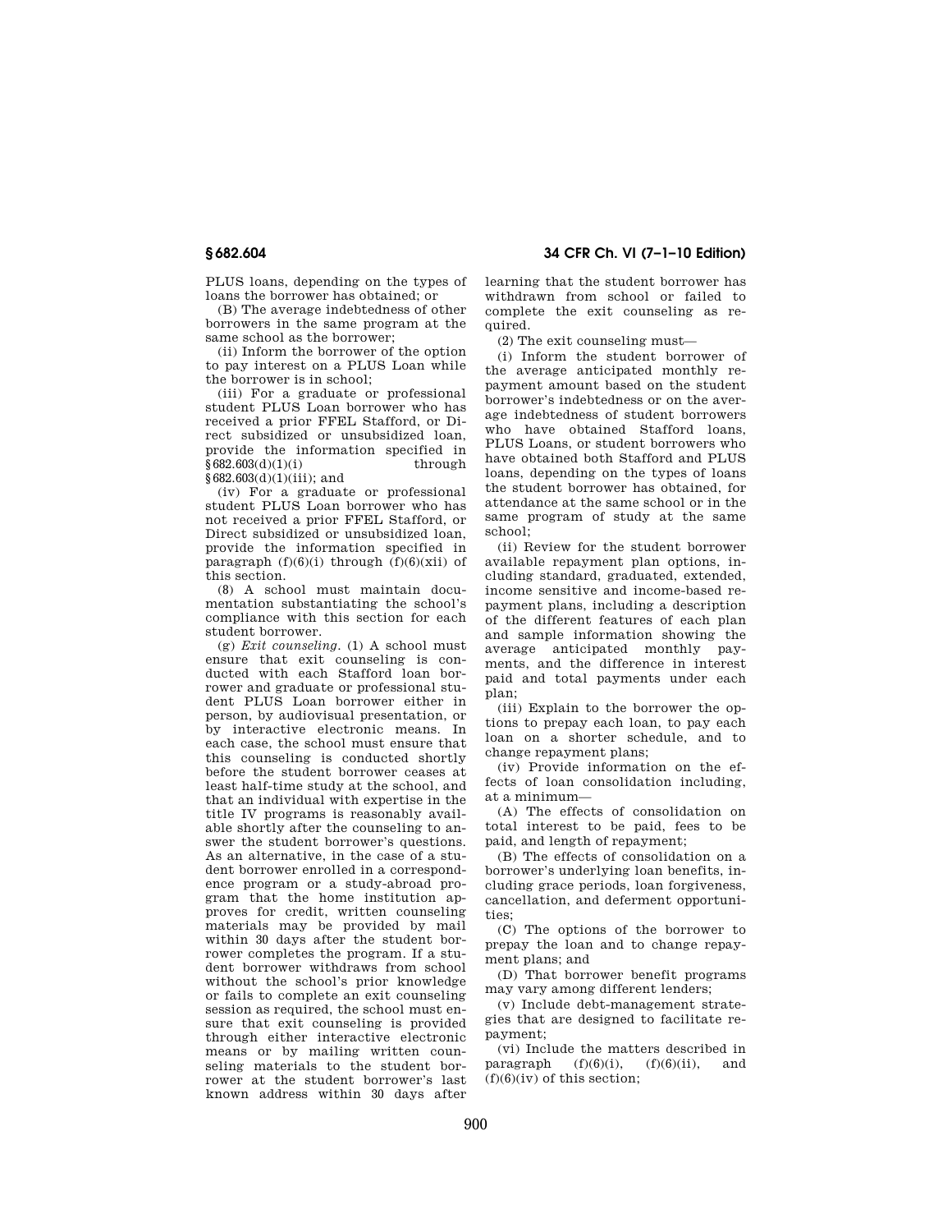PLUS loans, depending on the types of loans the borrower has obtained; or

(B) The average indebtedness of other borrowers in the same program at the same school as the borrower;

(ii) Inform the borrower of the option to pay interest on a PLUS Loan while the borrower is in school;

(iii) For a graduate or professional student PLUS Loan borrower who has received a prior FFEL Stafford, or Direct subsidized or unsubsidized loan, provide the information specified in  $§682.603(d)(1)(i)$  through  $\frac{8682.603(d)(1)(iii)}{3682.603(d)(1)(iii)}$ ; and

(iv) For a graduate or professional student PLUS Loan borrower who has not received a prior FFEL Stafford, or Direct subsidized or unsubsidized loan, provide the information specified in paragraph  $(f)(6)(i)$  through  $(f)(6)(xii)$  of this section.

(8) A school must maintain documentation substantiating the school's compliance with this section for each student borrower.

(g) *Exit counseling*. (1) A school must ensure that exit counseling is conducted with each Stafford loan borrower and graduate or professional student PLUS Loan borrower either in person, by audiovisual presentation, or by interactive electronic means. In each case, the school must ensure that this counseling is conducted shortly before the student borrower ceases at least half-time study at the school, and that an individual with expertise in the title IV programs is reasonably available shortly after the counseling to answer the student borrower's questions. As an alternative, in the case of a student borrower enrolled in a correspondence program or a study-abroad program that the home institution approves for credit, written counseling materials may be provided by mail within 30 days after the student borrower completes the program. If a student borrower withdraws from school without the school's prior knowledge or fails to complete an exit counseling session as required, the school must ensure that exit counseling is provided through either interactive electronic means or by mailing written counseling materials to the student borrower at the student borrower's last known address within 30 days after

**§ 682.604 34 CFR Ch. VI (7–1–10 Edition)** 

learning that the student borrower has withdrawn from school or failed to complete the exit counseling as required.

(2) The exit counseling must—

(i) Inform the student borrower of the average anticipated monthly repayment amount based on the student borrower's indebtedness or on the average indebtedness of student borrowers who have obtained Stafford loans, PLUS Loans, or student borrowers who have obtained both Stafford and PLUS loans, depending on the types of loans the student borrower has obtained, for attendance at the same school or in the same program of study at the same school;

(ii) Review for the student borrower available repayment plan options, including standard, graduated, extended, income sensitive and income-based repayment plans, including a description of the different features of each plan and sample information showing the average anticipated monthly payments, and the difference in interest paid and total payments under each plan;

(iii) Explain to the borrower the options to prepay each loan, to pay each loan on a shorter schedule, and to change repayment plans;

(iv) Provide information on the effects of loan consolidation including, at a minimum—

(A) The effects of consolidation on total interest to be paid, fees to be paid, and length of repayment;

(B) The effects of consolidation on a borrower's underlying loan benefits, including grace periods, loan forgiveness, cancellation, and deferment opportunities;

(C) The options of the borrower to prepay the loan and to change repayment plans; and

(D) That borrower benefit programs may vary among different lenders;

(v) Include debt-management strategies that are designed to facilitate repayment;

(vi) Include the matters described in paragraph  $(f)(6)(i)$ ,  $(f)(6)(ii)$ , and  $(f)(6)(iv)$  of this section;